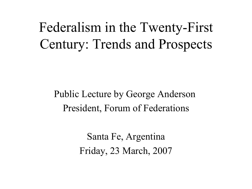### Federalism in the Twenty-First Century: Trends and Prospects

#### Public Lecture by George Anderson President, Forum of Federations

Santa Fe, Argentina Friday, 23 March, 2007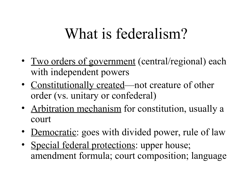# What is federalism?

- Two orders of government (central/regional) each with independent powers
- Constitutionally created—not creature of other order (vs. unitary or confederal)
- Arbitration mechanism for constitution, usually a court
- <u>Democratic</u>: goes with divided power, rule of law
- Special federal protections: upper house; amendment formula; court composition; language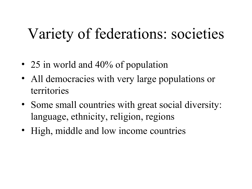# Variety of federations: societies

- 25 in world and 40% of population
- All democracies with very large populations or territories
- Some small countries with great social diversity: language, ethnicity, religion, regions
- High, middle and low income countries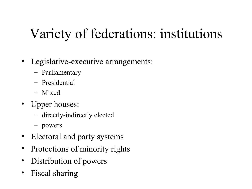# Variety of federations: institutions

- Legislative-executive arrangements:
	- Parliamentary
	- Presidential
	- Mixed
- Upper houses:
	- directly-indirectly elected
	- powers
- Electoral and party systems
- Protections of minority rights
- Distribution of powers
- Fiscal sharing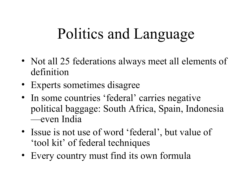# Politics and Language

- Not all 25 federations always meet all elements of definition
- Experts sometimes disagree
- In some countries 'federal' carries negative political baggage: South Africa, Spain, Indonesia —even India
- Issue is not use of word 'federal', but value of 'tool kit' of federal techniques
- Every country must find its own formula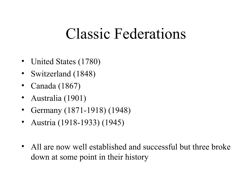### Classic Federations

- United States (1780)
- Switzerland (1848)
- Canada (1867)
- Australia (1901)
- Germany (1871-1918) (1948)
- Austria (1918-1933) (1945)
- All are now well established and successful but three broke down at some point in their history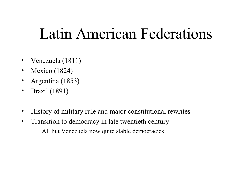## Latin American Federations

- Venezuela (1811)
- Mexico (1824)
- Argentina (1853)
- Brazil (1891)
- History of military rule and major constitutional rewrites
- Transition to democracy in late twentieth century
	- All but Venezuela now quite stable democracies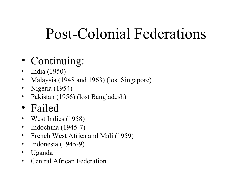# Post-Colonial Federations

#### • Continuing:

- India (1950)
- Malaysia (1948 and 1963) (lost Singapore)
- Nigeria (1954)
- Pakistan (1956) (lost Bangladesh)
- Failed
- West Indies (1958)
- Indochina (1945-7)
- French West Africa and Mali (1959)
- Indonesia (1945-9)
- Uganda
- Central African Federation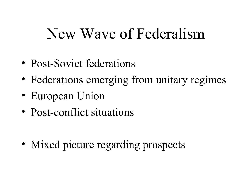### New Wave of Federalism

- Post-Soviet federations
- Federations emerging from unitary regimes
- European Union
- Post-conflict situations

• Mixed picture regarding prospects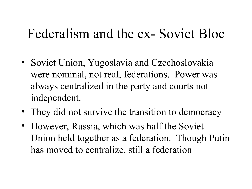#### Federalism and the ex- Soviet Bloc

- Soviet Union, Yugoslavia and Czechoslovakia were nominal, not real, federations. Power was always centralized in the party and courts not independent.
- They did not survive the transition to democracy
- However, Russia, which was half the Soviet Union held together as a federation. Though Putin has moved to centralize, still a federation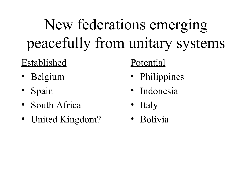# New federations emerging peacefully from unitary systems

#### Established

- Belgium
- Spain
- South Africa
- United Kingdom?

#### Potential

- Philippines
- Indonesia
- Italy
- Bolivia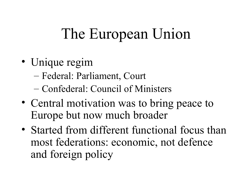# The European Union

- Unique regim
	- Federal: Parliament, Court
	- Confederal: Council of Ministers
- Central motivation was to bring peace to Europe but now much broader
- Started from different functional focus than most federations: economic, not defence and foreign policy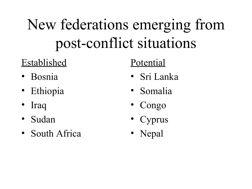# New federations emerging from post-conflict situations

#### Established

- Bosnia
- Ethiopia
- Iraq
- Sudan
- South Africa

#### Potential

- Sri Lanka
- Somalia
- Congo
- Cyprus
- Nepal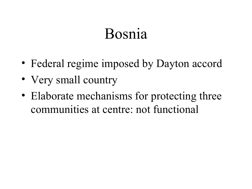### Bosnia

- Federal regime imposed by Dayton accord
- Very small country
- Elaborate mechanisms for protecting three communities at centre: not functional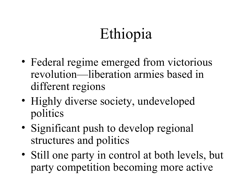# Ethiopia

- Federal regime emerged from victorious revolution—liberation armies based in different regions
- Highly diverse society, undeveloped politics
- Significant push to develop regional structures and politics
- Still one party in control at both levels, but party competition becoming more active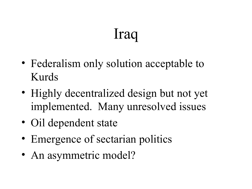# Iraq

- Federalism only solution acceptable to Kurds
- Highly decentralized design but not yet implemented. Many unresolved issues
- Oil dependent state
- Emergence of sectarian politics
- An asymmetric model?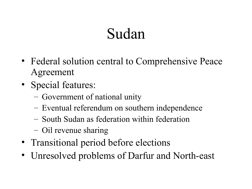# Sudan

- Federal solution central to Comprehensive Peace Agreement
- Special features:
	- Government of national unity
	- Eventual referendum on southern independence
	- South Sudan as federation within federation
	- Oil revenue sharing
- Transitional period before elections
- Unresolved problems of Darfur and North-east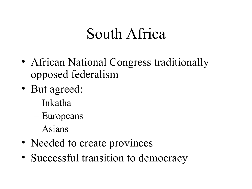## South Africa

- African National Congress traditionally opposed federalism
- But agreed:
	- Inkatha
	- Europeans
	- Asians
- Needed to create provinces
- Successful transition to democracy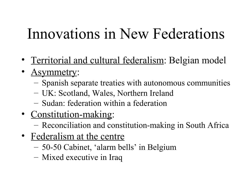# Innovations in New Federations

- Territorial and cultural federalism: Belgian model
- Asymmetry:
	- Spanish separate treaties with autonomous communities
	- UK: Scotland, Wales, Northern Ireland
	- Sudan: federation within a federation
- Constitution-making:
	- Reconciliation and constitution-making in South Africa
- Federalism at the centre
	- 50-50 Cabinet, 'alarm bells' in Belgium
	- Mixed executive in Iraq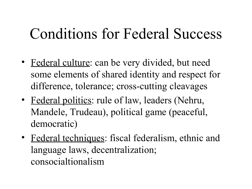# Conditions for Federal Success

- Federal culture: can be very divided, but need some elements of shared identity and respect for difference, tolerance; cross-cutting cleavages
- Federal politics: rule of law, leaders (Nehru, Mandele, Trudeau), political game (peaceful, democratic)
- Federal techniques: fiscal federalism, ethnic and language laws, decentralization; consocialtionalism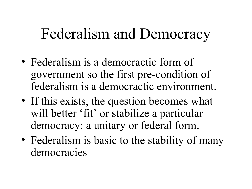# Federalism and Democracy

- Federalism is a democractic form of government so the first pre-condition of federalism is a democractic environment.
- If this exists, the question becomes what will better 'fit' or stabilize a particular democracy: a unitary or federal form.
- Federalism is basic to the stability of many democracies